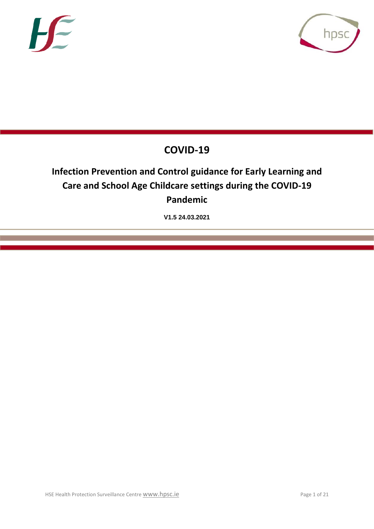



# **COVID-19**

# **Infection Prevention and Control guidance for Early Learning and Care and School Age Childcare settings during the COVID-19 Pandemic**

**V1.5 24.03.2021**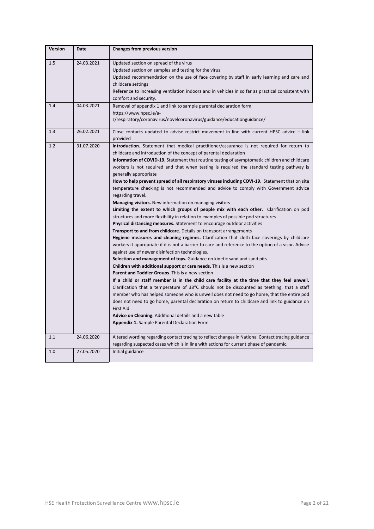| <b>Version</b> | Date       | <b>Changes from previous version</b>                                                                                                                                                                                                                                                                                                                                                                                                                                                                                                                                                                                                                                                                                                                                                                                                                                                                                                                                                                                                                                                                                                                                                                                                                                                                                                                                                                                                                                                                                                                                                                                                                                                                                                                                                                                                                                                                                                                                                                          |
|----------------|------------|---------------------------------------------------------------------------------------------------------------------------------------------------------------------------------------------------------------------------------------------------------------------------------------------------------------------------------------------------------------------------------------------------------------------------------------------------------------------------------------------------------------------------------------------------------------------------------------------------------------------------------------------------------------------------------------------------------------------------------------------------------------------------------------------------------------------------------------------------------------------------------------------------------------------------------------------------------------------------------------------------------------------------------------------------------------------------------------------------------------------------------------------------------------------------------------------------------------------------------------------------------------------------------------------------------------------------------------------------------------------------------------------------------------------------------------------------------------------------------------------------------------------------------------------------------------------------------------------------------------------------------------------------------------------------------------------------------------------------------------------------------------------------------------------------------------------------------------------------------------------------------------------------------------------------------------------------------------------------------------------------------------|
| 1.5            | 24.03.2021 | Updated section on spread of the virus<br>Updated section on samples and testing for the virus<br>Updated recommendation on the use of face covering by staff in early learning and care and<br>childcare settings<br>Reference to increasing ventilation indoors and in vehicles in so far as practical consistent with<br>comfort and security.                                                                                                                                                                                                                                                                                                                                                                                                                                                                                                                                                                                                                                                                                                                                                                                                                                                                                                                                                                                                                                                                                                                                                                                                                                                                                                                                                                                                                                                                                                                                                                                                                                                             |
| 1.4            | 04.03.2021 | Removal of appendix 1 and link to sample parental declaration form<br>https://www.hpsc.ie/a-<br>z/respiratory/coronavirus/novelcoronavirus/guidance/educationguidance/                                                                                                                                                                                                                                                                                                                                                                                                                                                                                                                                                                                                                                                                                                                                                                                                                                                                                                                                                                                                                                                                                                                                                                                                                                                                                                                                                                                                                                                                                                                                                                                                                                                                                                                                                                                                                                        |
| 1.3            | 26.02.2021 | Close contacts updated to advise restrict movement in line with current HPSC advice - link<br>provided                                                                                                                                                                                                                                                                                                                                                                                                                                                                                                                                                                                                                                                                                                                                                                                                                                                                                                                                                                                                                                                                                                                                                                                                                                                                                                                                                                                                                                                                                                                                                                                                                                                                                                                                                                                                                                                                                                        |
| 1.2            | 31.07.2020 | Introduction. Statement that medical practitioner/assurance is not required for return to<br>childcare and introduction of the concept of parental declaration<br>Information of COVID-19. Statement that routine testing of asymptomatic children and childcare<br>workers is not required and that when testing is required the standard testing pathway is<br>generally appropriate<br>How to help prevent spread of all respiratory viruses including COVI-19. Statement that on site<br>temperature checking is not recommended and advice to comply with Government advice<br>regarding travel.<br><b>Managing visitors.</b> New information on managing visitors<br>Limiting the extent to which groups of people mix with each other. Clarification on pod<br>structures and more flexibility in relation to examples of possible pod structures<br>Physical distancing measures. Statement to encourage outdoor activities<br>Transport to and from childcare. Details on transport arrangements<br>Hygiene measures and cleaning regimes. Clarification that cloth face coverings by childcare<br>workers it appropriate if it is not a barrier to care and reference to the option of a visor. Advice<br>against use of newer disinfection technologies.<br>Selection and management of toys. Guidance on kinetic sand and sand pits<br>Children with additional support or care needs. This is a new section<br>Parent and Toddler Groups. This is a new section<br>If a child or staff member is in the child care facility at the time that they feel unwell.<br>Clarification that a temperature of 38°C should not be discounted as teething, that a staff<br>member who has helped someone who is unwell does not need to go home, that the entire pod<br>does not need to go home, parental declaration on return to childcare and link to guidance on<br><b>First Aid</b><br>Advice on Cleaning. Additional details and a new table<br><b>Appendix 1.</b> Sample Parental Declaration Form |
| 1.1            | 24.06.2020 | Altered wording regarding contact tracing to reflect changes in National Contact tracing guidance<br>regarding suspected cases which is in line with actions for current phase of pandemic.                                                                                                                                                                                                                                                                                                                                                                                                                                                                                                                                                                                                                                                                                                                                                                                                                                                                                                                                                                                                                                                                                                                                                                                                                                                                                                                                                                                                                                                                                                                                                                                                                                                                                                                                                                                                                   |
| 1.0            | 27.05.2020 | Initial guidance                                                                                                                                                                                                                                                                                                                                                                                                                                                                                                                                                                                                                                                                                                                                                                                                                                                                                                                                                                                                                                                                                                                                                                                                                                                                                                                                                                                                                                                                                                                                                                                                                                                                                                                                                                                                                                                                                                                                                                                              |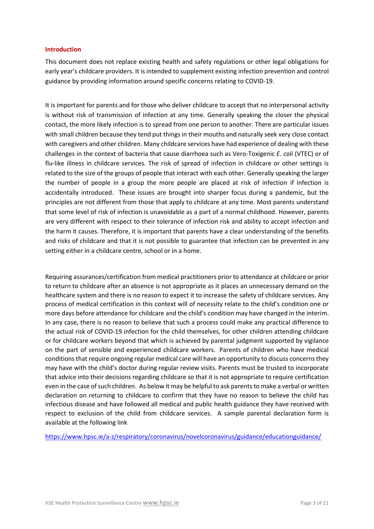#### **Introduction**

This document does not replace existing health and safety regulations or other legal obligations for early year's childcare providers. It is intended to supplement existing infection prevention and control guidance by providing information around specific concerns relating to COVID-19.

It is important for parents and for those who deliver childcare to accept that no interpersonal activity is without risk of transmission of infection at any time. Generally speaking the closer the physical contact, the more likely infection is to spread from one person to another. There are particular issues with small children because they tend put things in their mouths and naturally seek very close contact with caregivers and other children. Many childcare services have had experience of dealing with these challenges in the context of bacteria that cause diarrhoea such as Vero-Toxigenic *E. coli* (VTEC) or of flu-like illness in childcare services. The risk of spread of infection in childcare or other settings is related to the size of the groups of people that interact with each other. Generally speaking the larger the number of people in a group the more people are placed at risk of infection if infection is accidentally introduced. These issues are brought into sharper focus during a pandemic, but the principles are not different from those that apply to childcare at any time. Most parents understand that some level of risk of infection is unavoidable as a part of a normal childhood. However, parents are very different with respect to their tolerance of infection risk and ability to accept infection and the harm it causes. Therefore, it is important that parents have a clear understanding of the benefits and risks of childcare and that it is not possible to guarantee that infection can be prevented in any setting either in a childcare centre, school or in a home.

Requiring assurances/certification from medical practitioners prior to attendance at childcare or prior to return to childcare after an absence is not appropriate as it places an unnecessary demand on the healthcare system and there is no reason to expect it to increase the safety of childcare services. Any process of medical certification in this context will of necessity relate to the child's condition one or more days before attendance for childcare and the child's condition may have changed in the interim. In any case, there is no reason to believe that such a process could make any practical difference to the actual risk of COVID-19 infection for the child themselves, for other children attending childcare or for childcare workers beyond that which is achieved by parental judgment supported by vigilance on the part of sensible and experienced childcare workers. Parents of children who have medical conditions that require ongoing regular medical care will have an opportunity to discuss concerns they may have with the child's doctor during regular review visits. Parents must be trusted to incorporate that advice into their decisions regarding childcare so that it is not appropriate to require certification even in the case of such children. As below it may be helpful to ask parents to make a verbal or written declaration on returning to childcare to confirm that they have no reason to believe the child has infectious disease and have followed all medical and public health guidance they have received with respect to exclusion of the child from childcare services. A sample parental declaration form is available at the following link

[https://www.hpsc.ie/a-z/respiratory/coronavirus/novelcoronavirus/guidance/educationguidance/](https://scanner.topsec.com/?u=https%3A%2F%2Fwww.hpsc.ie%2Fa-z%2Frespiratory%2Fcoronavirus%2Fnovelcoronavirus%2Fguidance%2Feducationguidance%2F&t=a80320abf5fca90360a58f556f540fa1e8ae9f77&d=2104)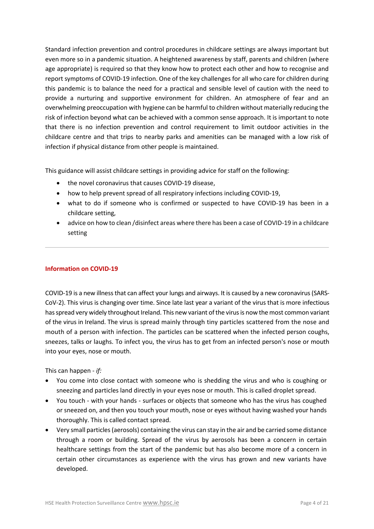Standard infection prevention and control procedures in childcare settings are always important but even more so in a pandemic situation. A heightened awareness by staff, parents and children (where age appropriate) is required so that they know how to protect each other and how to recognise and report symptoms of COVID-19 infection. One of the key challenges for all who care for children during this pandemic is to balance the need for a practical and sensible level of caution with the need to provide a nurturing and supportive environment for children. An atmosphere of fear and an overwhelming preoccupation with hygiene can be harmful to children without materially reducing the risk of infection beyond what can be achieved with a common sense approach. It is important to note that there is no infection prevention and control requirement to limit outdoor activities in the childcare centre and that trips to nearby parks and amenities can be managed with a low risk of infection if physical distance from other people is maintained.

This guidance will assist childcare settings in providing advice for staff on the following:

- the novel coronavirus that causes COVID-19 disease,
- how to help prevent spread of all respiratory infections including COVID-19,
- what to do if someone who is confirmed or suspected to have COVID-19 has been in a childcare setting,
- advice on how to clean /disinfect areas where there has been a case of COVID-19 in a childcare setting

# **Information on COVID-19**

COVID-19 is a new illness that can affect your lungs and airways. It is caused by a new coronavirus (SARS-CoV-2). This virus is changing over time. Since late last year a variant of the virus that is more infectious has spread very widely throughout Ireland. This new variant of the virus is now the most common variant of the virus in Ireland. The virus is spread mainly through tiny particles scattered from the nose and mouth of a person with infection. The particles can be scattered when the infected person coughs, sneezes, talks or laughs. To infect you, the virus has to get from an infected person's nose or mouth into your eyes, nose or mouth.

This can happen - *if:*

- You come into close contact with someone who is shedding the virus and who is coughing or sneezing and particles land directly in your eyes nose or mouth. This is called droplet spread.
- You touch with your hands surfaces or objects that someone who has the virus has coughed or sneezed on, and then you touch your mouth, nose or eyes without having washed your hands thoroughly. This is called contact spread.
- Very small particles (aerosols) containing the virus can stay in the air and be carried some distance through a room or building. Spread of the virus by aerosols has been a concern in certain healthcare settings from the start of the pandemic but has also become more of a concern in certain other circumstances as experience with the virus has grown and new variants have developed.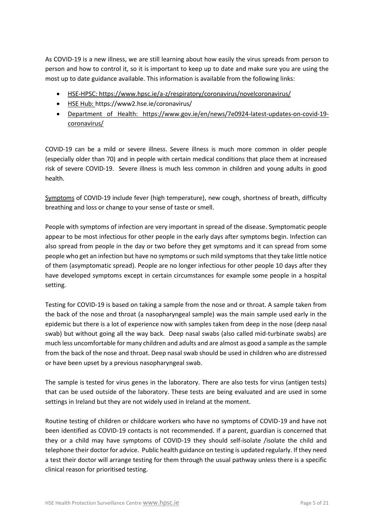As COVID-19 is a new illness, we are still learning about how easily the virus spreads from person to person and how to control it, so it is important to keep up to date and make sure you are using the most up to date guidance available. This information is available from the following links:

- [HSE-HPSC:](https://www.hpsc.ie/a-z/respiratory/coronavirus/novelcoronavirus/) https://www.hpsc.ie/a-z/respiratory/coronavirus/novelcoronavirus/
- [HSE Hub:](https://hse.drsteevenslibrary.ie/Covid19V2) https://www2.hse.ie/coronavirus/
- [Department of Health:](https://www.gov.ie/en/campaigns/c36c85-covid-19-coronavirus/) https://www.gov.ie/en/news/7e0924-latest-updates-on-covid-19 coronavirus/

COVID-19 can be a mild or severe illness. Severe illness is much more common in older people (especially older than 70) and in people with certain medical conditions that place them at increased risk of severe COVID-19. Severe illness is much less common in children and young adults in good health.

[Symptoms](https://www2.hse.ie/coronavirus/) of COVID-19 include fever (high temperature), new cough, shortness of breath, difficulty breathing and loss or change to your sense of taste or smell.

People with symptoms of infection are very important in spread of the disease. Symptomatic people appear to be most infectious for other people in the early days after symptoms begin. Infection can also spread from people in the day or two before they get symptoms and it can spread from some people who get an infection but have no symptoms or such mild symptoms that they take little notice of them (asymptomatic spread). People are no longer infectious for other people 10 days after they have developed symptoms except in certain circumstances for example some people in a hospital setting.

Testing for COVID-19 is based on taking a sample from the nose and or throat. A sample taken from the back of the nose and throat (a nasopharyngeal sample) was the main sample used early in the epidemic but there is a lot of experience now with samples taken from deep in the nose (deep nasal swab) but without going all the way back. Deep nasal swabs (also called mid-turbinate swabs) are much less uncomfortable for many children and adults and are almost as good a sample as the sample from the back of the nose and throat. Deep nasal swab should be used in children who are distressed or have been upset by a previous nasopharyngeal swab.

The sample is tested for virus genes in the laboratory. There are also tests for virus (antigen tests) that can be used outside of the laboratory. These tests are being evaluated and are used in some settings in Ireland but they are not widely used in Ireland at the moment.

Routine testing of children or childcare workers who have no symptoms of COVID-19 and have not been identified as COVID-19 contacts is not recommended. If a parent, guardian is concerned that they or a child may have symptoms of COVID-19 they should self-isolate /isolate the child and telephone their doctor for advice. Public health guidance on testing is updated regularly. If they need a test their doctor will arrange testing for them through the usual pathway unless there is a specific clinical reason for prioritised testing.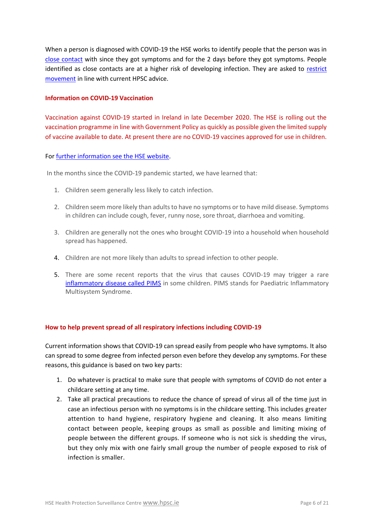When a person is diagnosed with COVID-19 the HSE works to identify people that the person was in [close contact](https://www2.hse.ie/conditions/coronavirus/testing/contact-tracing.html) with since they got symptoms and for the 2 days before they got symptoms. People identified as close contacts are at a higher risk of developing infection. They are asked to [restrict](https://www2.hse.ie/conditions/coronavirus/managing-coronavirus-at-home/if-you-live-with-someone-who-has-coronavirus.html)  [movement](https://www2.hse.ie/conditions/coronavirus/managing-coronavirus-at-home/if-you-live-with-someone-who-has-coronavirus.html) in line with current HPSC advice.

#### **Information on COVID-19 Vaccination**

Vaccination against COVID-19 started in Ireland in late December 2020. The HSE is rolling out the vaccination programme in line with Government Policy as quickly as possible given the limited supply of vaccine available to date. At present there are no COVID-19 vaccines approved for use in children.

#### For [further information see the HSE website.](https://www2.hse.ie/conditions/coronavirus/if-your-child-has-symptoms.html)

In the months since the COVID-19 pandemic started, we have learned that:

- 1. Children seem generally less likely to catch infection.
- 2. Children seem more likely than adults to have no symptoms or to have mild disease. Symptoms in children can include cough, fever, runny nose, sore throat, diarrhoea and vomiting.
- 3. Children are generally not the ones who brought COVID-19 into a household when household spread has happened.
- 4. Children are not more likely than adults to spread infection to other people.
- 5. There are some recent reports that the virus that causes COVID-19 may trigger a rare [inflammatory disease called PIMS](https://www2.hse.ie/conditions/coronavirus/if-your-child-has-symptoms.html) in some children. PIMS stands for Paediatric Inflammatory Multisystem Syndrome.

#### **How to help prevent spread of all respiratory infections including COVID-19**

Current information shows that COVID-19 can spread easily from people who have symptoms. It also can spread to some degree from infected person even before they develop any symptoms. For these reasons, this guidance is based on two key parts:

- 1. Do whatever is practical to make sure that people with symptoms of COVID do not enter a childcare setting at any time.
- 2. Take all practical precautions to reduce the chance of spread of virus all of the time just in case an infectious person with no symptoms is in the childcare setting. This includes greater attention to hand hygiene, respiratory hygiene and cleaning. It also means limiting contact between people, keeping groups as small as possible and limiting mixing of people between the different groups. If someone who is not sick is shedding the virus, but they only mix with one fairly small group the number of people exposed to risk of infection is smaller.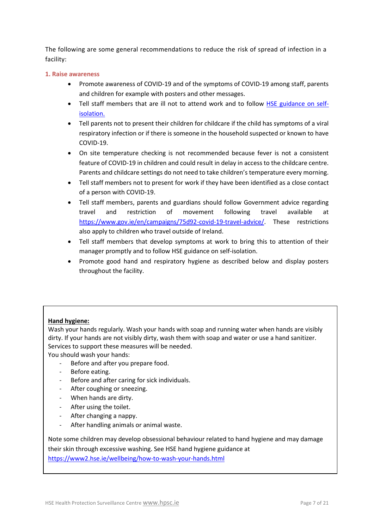The following are some general recommendations to reduce the risk of spread of infection in a facility:

### **1. Raise awareness**

- Promote awareness of COVID-19 and of the symptoms of COVID-19 among staff, parents and children for example with posters and other messages.
- Tell staff members that are ill not to attend work and to follow [HSE guidance on self](https://www2.hse.ie/conditions/coronavirus/managing-coronavirus-at-home/self-isolation.html)[isolation.](https://www2.hse.ie/conditions/coronavirus/managing-coronavirus-at-home/self-isolation.html)
- Tell parents not to present their children for childcare if the child has symptoms of a viral respiratory infection or if there is someone in the household suspected or known to have COVID-19.
- On site temperature checking is not recommended because fever is not a consistent feature of COVID-19 in children and could result in delay in access to the childcare centre. Parents and childcare settings do not need to take children's temperature every morning.
- Tell staff members not to present for work if they have been identified as a close contact of a person with COVID-19.
- Tell staff members, parents and guardians should follow Government advice regarding travel and restriction of movement following travel available at [https://www.gov.ie/en/campaigns/75d92-covid-19-travel-advice/.](https://www.gov.ie/en/campaigns/75d92-covid-19-travel-advice/) These restrictions also apply to children who travel outside of Ireland.
- Tell staff members that develop symptoms at work to bring this to attention of their manager promptly and to follow HSE guidance on self-isolation.
- Promote good hand and respiratory hygiene as described below and display posters throughout the facility.

# **Hand hygiene:**

Wash your hands regularly. Wash your hands with soap and running water when hands are visibly dirty. If your hands are not visibly dirty, wash them with soap and water or use a hand sanitizer. Services to support these measures will be needed.

You should wash your hands:

- Before and after you prepare food.
- Before eating.
- Before and after caring for sick individuals.
- After coughing or sneezing.
- When hands are dirty.
- After using the toilet.
- After changing a nappy.
- After handling animals or animal waste.

Note some children may develop obsessional behaviour related to hand hygiene and may damage their skin through excessive washing. See HSE hand hygiene guidance at <https://www2.hse.ie/wellbeing/how-to-wash-your-hands.html>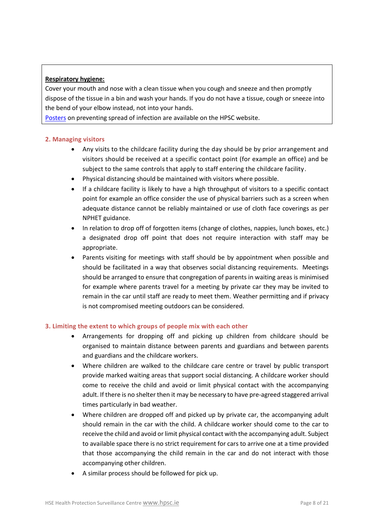# **Respiratory hygiene:**

Cover your mouth and nose with a clean tissue when you cough and sneeze and then promptly dispose of the tissue in a bin and wash your hands. If you do not have a tissue, cough or sneeze into the bend of your elbow instead, not into your hands.

[Posters](http://www.hpsc.ie/a-z/microbiologyantimicrobialresistance/infectioncontrolandhai/posters/) on preventing spread of infection are available on the HPSC website.

#### **2. Managing visitors**

- Any visits to the childcare facility during the day should be by prior arrangement and visitors should be received at a specific contact point (for example an office) and be subject to the same controls that apply to staff entering the childcare facility.
- Physical distancing should be maintained with visitors where possible.
- If a childcare facility is likely to have a high throughput of visitors to a specific contact point for example an office consider the use of physical barriers such as a screen when adequate distance cannot be reliably maintained or use of cloth face coverings as per NPHET guidance.
- In relation to drop off of forgotten items (change of clothes, nappies, lunch boxes, etc.) a designated drop off point that does not require interaction with staff may be appropriate.
- Parents visiting for meetings with staff should be by appointment when possible and should be facilitated in a way that observes social distancing requirements. Meetings should be arranged to ensure that congregation of parents in waiting areas is minimised for example where parents travel for a meeting by private car they may be invited to remain in the car until staff are ready to meet them. Weather permitting and if privacy is not compromised meeting outdoors can be considered.

#### **3. Limiting the extent to which groups of people mix with each other**

- Arrangements for dropping off and picking up children from childcare should be organised to maintain distance between parents and guardians and between parents and guardians and the childcare workers.
- Where children are walked to the childcare care centre or travel by public transport provide marked waiting areas that support social distancing. A childcare worker should come to receive the child and avoid or limit physical contact with the accompanying adult. If there is no shelter then it may be necessary to have pre-agreed staggered arrival times particularly in bad weather.
- Where children are dropped off and picked up by private car, the accompanying adult should remain in the car with the child. A childcare worker should come to the car to receive the child and avoid or limit physical contact with the accompanying adult. Subject to available space there is no strict requirement for cars to arrive one at a time provided that those accompanying the child remain in the car and do not interact with those accompanying other children.
- A similar process should be followed for pick up.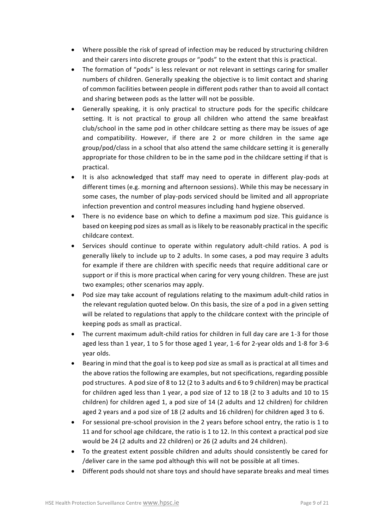- Where possible the risk of spread of infection may be reduced by structuring children and their carers into discrete groups or "pods" to the extent that this is practical.
- The formation of "pods" is less relevant or not relevant in settings caring for smaller numbers of children. Generally speaking the objective is to limit contact and sharing of common facilities between people in different pods rather than to avoid all contact and sharing between pods as the latter will not be possible.
- Generally speaking, it is only practical to structure pods for the specific childcare setting. It is not practical to group all children who attend the same breakfast club/school in the same pod in other childcare setting as there may be issues of age and compatibility. However, if there are 2 or more children in the same age group/pod/class in a school that also attend the same childcare setting it is generally appropriate for those children to be in the same pod in the childcare setting if that is practical.
- It is also acknowledged that staff may need to operate in different play-pods at different times (e.g. morning and afternoon sessions). While this may be necessary in some cases, the number of play-pods serviced should be limited and all appropriate infection prevention and control measures including hand hygiene observed.
- There is no evidence base on which to define a maximum pod size. This guidance is based on keeping pod sizes as small as is likely to be reasonably practical in the specific childcare context.
- Services should continue to operate within regulatory adult-child ratios. A pod is generally likely to include up to 2 adults. In some cases, a pod may require 3 adults for example if there are children with specific needs that require additional care or support or if this is more practical when caring for very young children. These are just two examples; other scenarios may apply.
- Pod size may take account of regulations relating to the maximum adult-child ratios in the relevant regulation quoted below. On this basis, the size of a pod in a given setting will be related to regulations that apply to the childcare context with the principle of keeping pods as small as practical.
- The current maximum adult-child ratios for children in full day care are 1-3 for those aged less than 1 year, 1 to 5 for those aged 1 year, 1-6 for 2-year olds and 1-8 for 3-6 year olds.
- Bearing in mind that the goal is to keep pod size as small as is practical at all times and the above ratios the following are examples, but not specifications, regarding possible pod structures. A pod size of 8 to 12 (2 to 3 adults and 6 to 9 children) may be practical for children aged less than 1 year, a pod size of 12 to 18 (2 to 3 adults and 10 to 15 children) for children aged 1, a pod size of 14 (2 adults and 12 children) for children aged 2 years and a pod size of 18 (2 adults and 16 children) for children aged 3 to 6.
- For sessional pre-school provision in the 2 years before school entry, the ratio is 1 to 11 and for school age childcare, the ratio is 1 to 12. In this context a practical pod size would be 24 (2 adults and 22 children) or 26 (2 adults and 24 children).
- To the greatest extent possible children and adults should consistently be cared for /deliver care in the same pod although this will not be possible at all times.
- Different pods should not share toys and should have separate breaks and meal times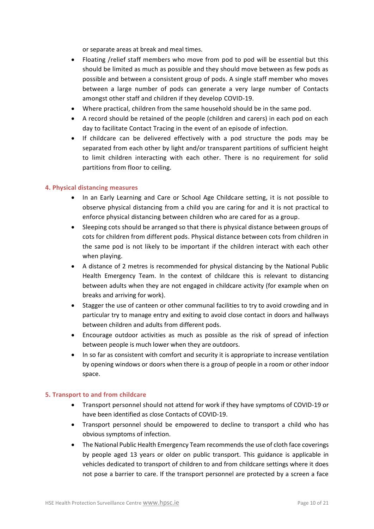or separate areas at break and meal times.

- Floating /relief staff members who move from pod to pod will be essential but this should be limited as much as possible and they should move between as few pods as possible and between a consistent group of pods. A single staff member who moves between a large number of pods can generate a very large number of Contacts amongst other staff and children if they develop COVID-19.
- Where practical, children from the same household should be in the same pod.
- A record should be retained of the people (children and carers) in each pod on each day to facilitate Contact Tracing in the event of an episode of infection.
- If childcare can be delivered effectively with a pod structure the pods may be separated from each other by light and/or transparent partitions of sufficient height to limit children interacting with each other. There is no requirement for solid partitions from floor to ceiling.

#### **4. Physical distancing measures**

- In an Early Learning and Care or School Age Childcare setting, it is not possible to observe physical distancing from a child you are caring for and it is not practical to enforce physical distancing between children who are cared for as a group.
- Sleeping cots should be arranged so that there is physical distance between groups of cots for children from different pods. Physical distance between cots from children in the same pod is not likely to be important if the children interact with each other when playing.
- A distance of 2 metres is recommended for physical distancing by the National Public Health Emergency Team. In the context of childcare this is relevant to distancing between adults when they are not engaged in childcare activity (for example when on breaks and arriving for work).
- Stagger the use of canteen or other communal facilities to try to avoid crowding and in particular try to manage entry and exiting to avoid close contact in doors and hallways between children and adults from different pods.
- Encourage outdoor activities as much as possible as the risk of spread of infection between people is much lower when they are outdoors.
- In so far as consistent with comfort and security it is appropriate to increase ventilation by opening windows or doors when there is a group of people in a room or other indoor space.

#### **5. Transport to and from childcare**

- Transport personnel should not attend for work if they have symptoms of COVID-19 or have been identified as close Contacts of COVID-19.
- Transport personnel should be empowered to decline to transport a child who has obvious symptoms of infection.
- The National Public Health Emergency Team recommends the use of cloth face coverings by people aged 13 years or older on public transport. This guidance is applicable in vehicles dedicated to transport of children to and from childcare settings where it does not pose a barrier to care. If the transport personnel are protected by a screen a face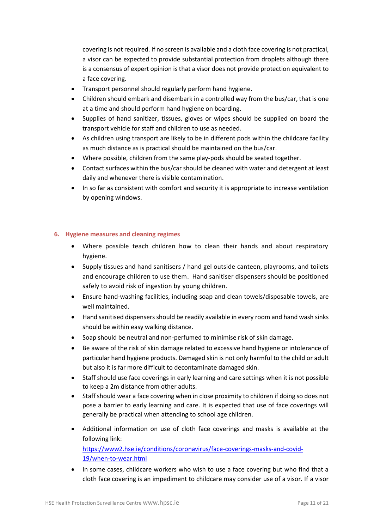covering is not required. If no screen is available and a cloth face covering is not practical, a visor can be expected to provide substantial protection from droplets although there is a consensus of expert opinion is that a visor does not provide protection equivalent to a face covering.

- Transport personnel should regularly perform hand hygiene.
- Children should embark and disembark in a controlled way from the bus/car, that is one at a time and should perform hand hygiene on boarding.
- Supplies of hand sanitizer, tissues, gloves or wipes should be supplied on board the transport vehicle for staff and children to use as needed.
- As children using transport are likely to be in different pods within the childcare facility as much distance as is practical should be maintained on the bus/car.
- Where possible, children from the same play-pods should be seated together.
- Contact surfaces within the bus/car should be cleaned with water and detergent at least daily and whenever there is visible contamination.
- In so far as consistent with comfort and security it is appropriate to increase ventilation by opening windows.

# **6. Hygiene measures and cleaning regimes**

- Where possible teach children how to clean their hands and about respiratory hygiene.
- Supply tissues and hand sanitisers / hand gel outside canteen, playrooms, and toilets and encourage children to use them. Hand sanitiser dispensers should be positioned safely to avoid risk of ingestion by young children.
- Ensure hand-washing facilities, including soap and clean towels/disposable towels, are well maintained.
- Hand sanitised dispensers should be readily available in every room and hand wash sinks should be within easy walking distance.
- Soap should be neutral and non-perfumed to minimise risk of skin damage.
- Be aware of the risk of skin damage related to excessive hand hygiene or intolerance of particular hand hygiene products. Damaged skin is not only harmful to the child or adult but also it is far more difficult to decontaminate damaged skin.
- Staff should use face coverings in early learning and care settings when it is not possible to keep a 2m distance from other adults.
- Staff should wear a face covering when in close proximity to children if doing so does not pose a barrier to early learning and care. It is expected that use of face coverings will generally be practical when attending to school age children.
- Additional information on use of cloth face coverings and masks is available at the following link: [https://www2.hse.ie/conditions/coronavirus/face-coverings-masks-and-covid-](https://www2.hse.ie/conditions/coronavirus/face-coverings-masks-and-covid-19/when-to-wear.html)[19/when-to-wear.html](https://www2.hse.ie/conditions/coronavirus/face-coverings-masks-and-covid-19/when-to-wear.html)
- In some cases, childcare workers who wish to use a face covering but who find that a cloth face covering is an impediment to childcare may consider use of a visor. If a visor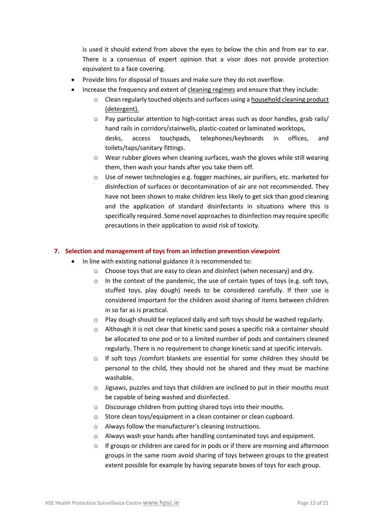is used it should extend from above the eyes to below the chin and from ear to ear. There is a consensus of expert opinion that a visor does not provide protection equivalent to a face covering.

- Provide bins for disposal of tissues and make sure they do not overflow.
- Increase the frequency and extent of cleaning regimes and ensure that they include:
	- o Clean regularly touched objects and surfaces using a household cleaning product (detergent).
	- o Pay particular attention to high-contact areas such as door handles, grab rails/ hand rails in corridors/stairwells, plastic-coated or laminated worktops, desks, access touchpads, telephones/keyboards in offices, and toilets/taps/sanitary fittings.
	- $\circ$  Wear rubber gloves when cleaning surfaces, wash the gloves while still wearing them, then wash your hands after you take them off.
	- $\circ$  Use of newer technologies e.g. fogger machines, air purifiers, etc. marketed for disinfection of surfaces or decontamination of air are not recommended. They have not been shown to make children less likely to get sick than good cleaning and the application of standard disinfectants in situations where this is specifically required. Some novel approaches to disinfection may require specific precautions in their application to avoid risk of toxicity.

# **7. Selection and management of toys from an infection prevention viewpoint**

- In line with existing national guidance it is recommended to:
	- o Choose toys that are easy to clean and disinfect (when necessary) and dry.
	- $\circ$  In the context of the pandemic, the use of certain types of toys (e.g. soft toys, stuffed toys, play dough) needs to be considered carefully. If their use is considered important for the children avoid sharing of items between children in so far as is practical.
	- o Play dough should be replaced daily and soft toys should be washed regularly.
	- o Although it is not clear that kinetic sand poses a specific risk a container should be allocated to one pod or to a limited number of pods and containers cleaned regularly. There is no requirement to change kinetic sand at specific intervals.
	- o If soft toys /comfort blankets are essential for some children they should be personal to the child, they should not be shared and they must be machine washable.
	- $\circ$  Jigsaws, puzzles and toys that children are inclined to put in their mouths must be capable of being washed and disinfected.
	- o Discourage children from putting shared toys into their mouths.
	- o Store clean toys/equipment in a clean container or clean cupboard.
	- o Always follow the manufacturer's cleaning instructions.
	- o Always wash your hands after handling contaminated toys and equipment.
	- $\circ$  If groups or children are cared for in pods or if there are morning and afternoon groups in the same room avoid sharing of toys between groups to the greatest extent possible for example by having separate boxes of toys for each group.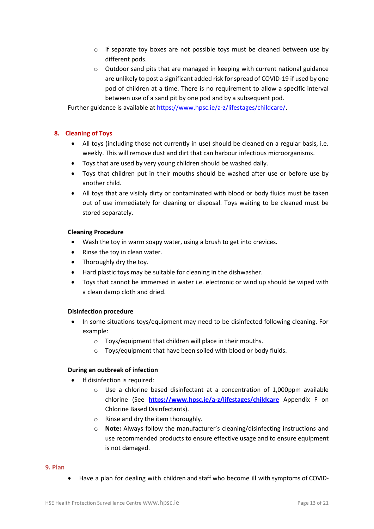- $\circ$  If separate toy boxes are not possible toys must be cleaned between use by different pods.
- o Outdoor sand pits that are managed in keeping with current national guidance are unlikely to post a significant added risk for spread of COVID-19 if used by one pod of children at a time. There is no requirement to allow a specific interval between use of a sand pit by one pod and by a subsequent pod.

Further guidance is available at [https://www.hpsc.ie/a-z/lifestages/childcare/.](https://www.hpsc.ie/a-z/lifestages/childcare/)

# **8. Cleaning of Toys**

- All toys (including those not currently in use) should be cleaned on a regular basis, i.e. weekly. This will remove dust and dirt that can harbour infectious microorganisms.
- Toys that are used by very young children should be washed daily.
- Toys that children put in their mouths should be washed after use or before use by another child.
- All toys that are visibly dirty or contaminated with blood or body fluids must be taken out of use immediately for cleaning or disposal. Toys waiting to be cleaned must be stored separately.

#### **Cleaning Procedure**

- Wash the toy in warm soapy water, using a brush to get into crevices.
- Rinse the toy in clean water.
- Thoroughly dry the toy.
- Hard plastic toys may be suitable for cleaning in the dishwasher.
- Toys that cannot be immersed in water i.e. electronic or wind up should be wiped with a clean damp cloth and dried.

#### **Disinfection procedure**

- In some situations toys/equipment may need to be disinfected following cleaning. For example:
	- o Toys/equipment that children will place in their mouths.
	- o Toys/equipment that have been soiled with blood or body fluids.

#### **During an outbreak of infection**

- If disinfection is required:
	- $\circ$  Use a chlorine based disinfectant at a concentration of 1,000ppm available chlorine (See **<https://www.hpsc.ie/a-z/lifestages/childcare>** Appendix F on Chlorine Based Disinfectants).
	- o Rinse and dry the item thoroughly.
	- o **Note:** Always follow the manufacturer's cleaning/disinfecting instructions and use recommended products to ensure effective usage and to ensure equipment is not damaged.

#### **9. Plan**

• Have a plan for dealing with children and staff who become ill with symptoms of COVID-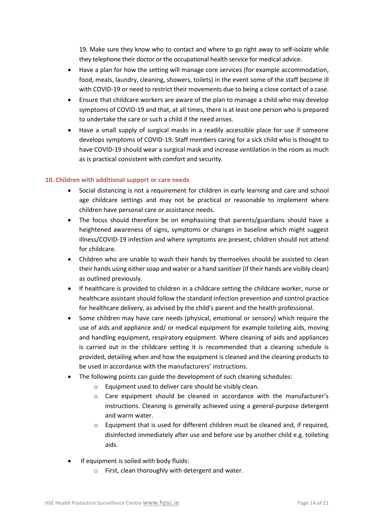19. Make sure they know who to contact and where to go right away to self-isolate while they telephone their doctor or the occupational health service for medical advice.

- Have a plan for how the setting will manage core services (for example accommodation, food, meals, laundry, cleaning, showers, toilets) in the event some of the staff become ill with COVID-19 or need to restrict their movements due to being a close contact of a case.
- Ensure that childcare workers are aware of the plan to manage a child who may develop symptoms of COVID-19 and that, at all times, there is at least one person who is prepared to undertake the care or such a child if the need arises.
- Have a small supply of surgical masks in a readily accessible place for use if someone develops symptoms of COVID-19. Staff members caring for a sick child who is thought to have COVID-19 should wear a surgical mask and increase ventilation in the room as much as is practical consistent with comfort and security.

# **10. Children with additional support or care needs**

- Social distancing is not a requirement for children in early learning and care and school age childcare settings and may not be practical or reasonable to implement where children have personal care or assistance needs.
- The focus should therefore be on emphasising that parents/guardians should have a heightened awareness of signs, symptoms or changes in baseline which might suggest illness/COVID-19 infection and where symptoms are present, children should not attend for childcare.
- Children who are unable to wash their hands by themselves should be assisted to clean their hands using either soap and water or a hand sanitiser (if their hands are visibly clean) as outlined previously.
- If healthcare is provided to children in a childcare setting the childcare worker, nurse or healthcare assistant should follow the standard infection prevention and control practice for healthcare delivery, as advised by the child's parent and the health professional.
- Some children may have care needs (physical, emotional or sensory) which require the use of aids and appliance and/ or medical equipment for example toileting aids, moving and handling equipment, respiratory equipment. Where cleaning of aids and appliances is carried out in the childcare setting it is recommended that a cleaning schedule is provided, detailing when and how the equipment is cleaned and the cleaning products to be used in accordance with the manufacturers' instructions.
- The following points can guide the development of such cleaning schedules:
	- o Equipment used to deliver care should be visibly clean.
	- o Care equipment should be cleaned in accordance with the manufacturer's instructions. Cleaning is generally achieved using a general-purpose detergent and warm water.
	- $\circ$  Equipment that is used for different children must be cleaned and, if required, disinfected immediately after use and before use by another child e.g. toileting aids.
- If equipment is soiled with body fluids:
	- o First, clean thoroughly with detergent and water.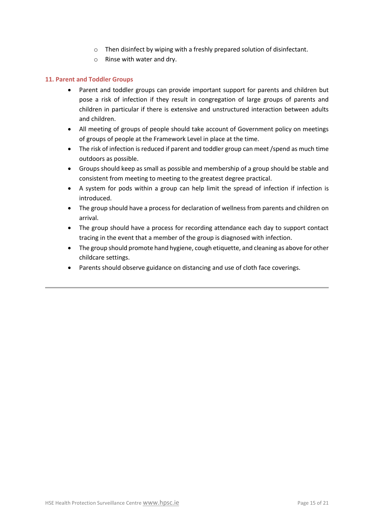- o Then disinfect by wiping with a freshly prepared solution of disinfectant.
- o Rinse with water and dry.

#### **11. Parent and Toddler Groups**

- Parent and toddler groups can provide important support for parents and children but pose a risk of infection if they result in congregation of large groups of parents and children in particular if there is extensive and unstructured interaction between adults and children.
- All meeting of groups of people should take account of Government policy on meetings of groups of people at the Framework Level in place at the time.
- The risk of infection is reduced if parent and toddler group can meet /spend as much time outdoors as possible.
- Groups should keep as small as possible and membership of a group should be stable and consistent from meeting to meeting to the greatest degree practical.
- A system for pods within a group can help limit the spread of infection if infection is introduced.
- The group should have a process for declaration of wellness from parents and children on arrival.
- The group should have a process for recording attendance each day to support contact tracing in the event that a member of the group is diagnosed with infection.
- The group should promote hand hygiene, cough etiquette, and cleaning as above for other childcare settings.
- Parents should observe guidance on distancing and use of cloth face coverings.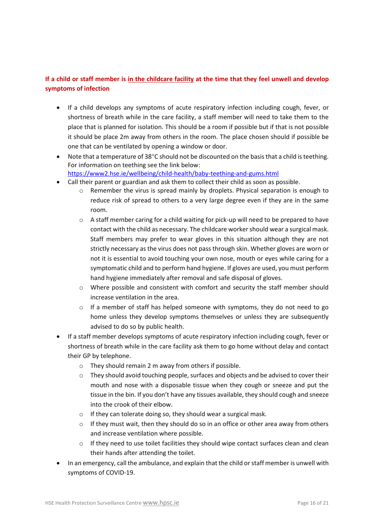# **If a child or staff member is in the childcare facility at the time that they feel unwell and develop symptoms of infection**

- If a child develops any symptoms of acute respiratory infection including cough, fever, or shortness of breath while in the care facility, a staff member will need to take them to the place that is planned for isolation. This should be a room if possible but if that is not possible it should be place 2m away from others in the room. The place chosen should if possible be one that can be ventilated by opening a window or door.
- Note that a temperature of  $38^{\circ}$ C should not be discounted on the basis that a child is teething. For information on teething see the link below: <https://www2.hse.ie/wellbeing/child-health/baby-teething-and-gums.html>
- Call their parent or guardian and ask them to collect their child as soon as possible.
	- o Remember the virus is spread mainly by droplets. Physical separation is enough to reduce risk of spread to others to a very large degree even if they are in the same room.
	- $\circ$  A staff member caring for a child waiting for pick-up will need to be prepared to have contact with the child as necessary. The childcare worker should wear a surgical mask. Staff members may prefer to wear gloves in this situation although they are not strictly necessary as the virus does not pass through skin. Whether gloves are worn or not it is essential to avoid touching your own nose, mouth or eyes while caring for a symptomatic child and to perform hand hygiene. If gloves are used, you must perform hand hygiene immediately after removal and safe disposal of gloves.
	- $\circ$  Where possible and consistent with comfort and security the staff member should increase ventilation in the area.
	- o If a member of staff has helped someone with symptoms, they do not need to go home unless they develop symptoms themselves or unless they are subsequently advised to do so by public health.
- If a staff member develops symptoms of acute respiratory infection including cough, fever or shortness of breath while in the care facility ask them to go home without delay and contact their GP by telephone.
	- o They should remain 2 m away from others if possible.
	- $\circ$  They should avoid touching people, surfaces and objects and be advised to cover their mouth and nose with a disposable tissue when they cough or sneeze and put the tissue in the bin. If you don't have any tissues available, they should cough and sneeze into the crook of their elbow.
	- o If they can tolerate doing so, they should wear a surgical mask.
	- $\circ$  If they must wait, then they should do so in an office or other area away from others and increase ventilation where possible.
	- o If they need to use toilet facilities they should wipe contact surfaces clean and clean their hands after attending the toilet.
- In an emergency, call the ambulance, and explain that the child or staff member is unwell with symptoms of COVID-19.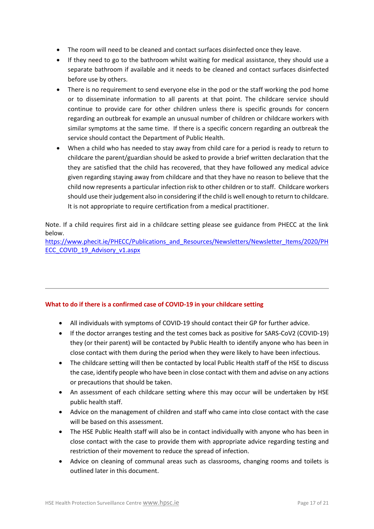- The room will need to be cleaned and contact surfaces disinfected once they leave.
- If they need to go to the bathroom whilst waiting for medical assistance, they should use a separate bathroom if available and it needs to be cleaned and contact surfaces disinfected before use by others.
- There is no requirement to send everyone else in the pod or the staff working the pod home or to disseminate information to all parents at that point. The childcare service should continue to provide care for other children unless there is specific grounds for concern regarding an outbreak for example an unusual number of children or childcare workers with similar symptoms at the same time. If there is a specific concern regarding an outbreak the service should contact the Department of Public Health.
- When a child who has needed to stay away from child care for a period is ready to return to childcare the parent/guardian should be asked to provide a brief written declaration that the they are satisfied that the child has recovered, that they have followed any medical advice given regarding staying away from childcare and that they have no reason to believe that the child now represents a particular infection risk to other children or to staff. Childcare workers should use their judgement also in considering if the child is well enough to return to childcare. It is not appropriate to require certification from a medical practitioner.

Note. If a child requires first aid in a childcare setting please see guidance from PHECC at the link below.

[https://www.phecit.ie/PHECC/Publications\\_and\\_Resources/Newsletters/Newsletter\\_Items/2020/PH](https://www.phecit.ie/PHECC/Publications_and_Resources/Newsletters/Newsletter_Items/2020/PHECC_COVID_19_Advisory_v1.aspx) [ECC\\_COVID\\_19\\_Advisory\\_v1.aspx](https://www.phecit.ie/PHECC/Publications_and_Resources/Newsletters/Newsletter_Items/2020/PHECC_COVID_19_Advisory_v1.aspx)

#### **What to do if there is a confirmed case of COVID-19 in your childcare setting**

- All individuals with symptoms of COVID-19 should contact their GP for further advice.
- If the doctor arranges testing and the test comes back as positive for SARS-CoV2 (COVID-19) they (or their parent) will be contacted by Public Health to identify anyone who has been in close contact with them during the period when they were likely to have been infectious.
- The childcare setting will then be contacted by local Public Health staff of the HSE to discuss the case, identify people who have been in close contact with them and advise on any actions or precautions that should be taken.
- An assessment of each childcare setting where this may occur will be undertaken by HSE public health staff.
- Advice on the management of children and staff who came into close contact with the case will be based on this assessment.
- The HSE Public Health staff will also be in contact individually with anyone who has been in close contact with the case to provide them with appropriate advice regarding testing and restriction of their movement to reduce the spread of infection.
- Advice on cleaning of communal areas such as classrooms, changing rooms and toilets is outlined later in this document.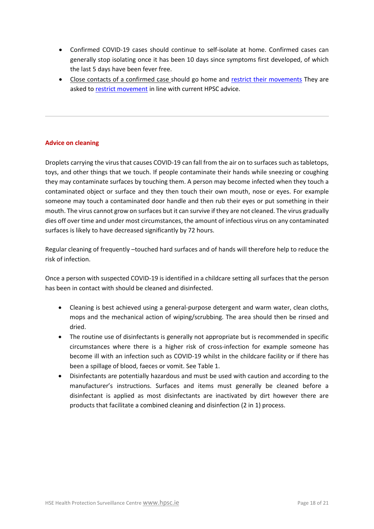- Confirmed COVID-19 cases should continue to [self-isolate](https://www2.hse.ie/conditions/coronavirus/managing-coronavirus-at-home/self-isolation.html) at home. Confirmed cases can generally stop isolating once it has been 10 days since symptoms first developed, of which the last 5 days have been fever free.
- Close contacts of a confirmed case should go home and [restrict their movements](https://www2.hse.ie/conditions/coronavirus/managing-coronavirus-at-home/if-you-live-with-someone-who-has-coronavirus.html#restrict) They are asked to [restrict movement](https://www2.hse.ie/conditions/coronavirus/managing-coronavirus-at-home/if-you-live-with-someone-who-has-coronavirus.html) in line with current HPSC advice.

# **Advice on cleaning**

Droplets carrying the virus that causes COVID-19 can fall from the air on to surfaces such as tabletops, toys, and other things that we touch. If people contaminate their hands while sneezing or coughing they may contaminate surfaces by touching them. A person may become infected when they touch a contaminated object or surface and they then touch their own mouth, nose or eyes. For example someone may touch a contaminated door handle and then rub their eyes or put something in their mouth. The virus cannot grow on surfaces but it can survive if they are not cleaned. The virus gradually dies off over time and under most circumstances, the amount of infectious virus on any contaminated surfaces is likely to have decreased significantly by 72 hours.

Regular cleaning of frequently –touched hard surfaces and of hands will therefore help to reduce the risk of infection.

Once a person with suspected COVID-19 is identified in a childcare setting all surfaces that the person has been in contact with should be cleaned and disinfected.

- Cleaning is best achieved using a general-purpose detergent and warm water, clean cloths, mops and the mechanical action of wiping/scrubbing. The area should then be rinsed and dried.
- The routine use of disinfectants is generally not appropriate but is recommended in specific circumstances where there is a higher risk of cross-infection for example someone has become ill with an infection such as COVID-19 whilst in the childcare facility or if there has been a spillage of blood, faeces or vomit. See Table 1.
- Disinfectants are potentially hazardous and must be used with caution and according to the manufacturer's instructions. Surfaces and items must generally be cleaned before a disinfectant is applied as most disinfectants are inactivated by dirt however there are products that facilitate a combined cleaning and disinfection (2 in 1) process.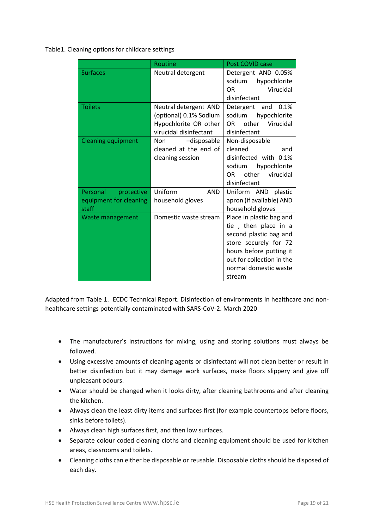Table1. Cleaning options for childcare settings

|                                                                  | Routine                                                                                            | Post COVID case                                                                                                                                                                                |
|------------------------------------------------------------------|----------------------------------------------------------------------------------------------------|------------------------------------------------------------------------------------------------------------------------------------------------------------------------------------------------|
| <b>Surfaces</b>                                                  | Neutral detergent                                                                                  | Detergent AND 0.05%<br>sodium<br>hypochlorite<br>Virucidal<br>OR.<br>disinfectant                                                                                                              |
| <b>Toilets</b>                                                   | Neutral detergent AND<br>(optional) 0.1% Sodium<br>Hypochlorite OR other<br>virucidal disinfectant | Detergent and<br>0.1%<br>sodium<br>hypochlorite<br>other<br>Virucidal<br>OR.<br>disinfectant                                                                                                   |
| <b>Cleaning equipment</b>                                        | -disposable<br><b>Non</b><br>cleaned at the end of<br>cleaning session                             | Non-disposable<br>cleaned<br>and<br>disinfected with 0.1%<br>sodium<br>hypochlorite<br>other virucidal<br>OR.<br>disinfectant                                                                  |
| <b>Personal</b><br>protective<br>equipment for cleaning<br>staff | Uniform<br><b>AND</b><br>household gloves                                                          | Uniform AND plastic<br>apron (if available) AND<br>household gloves                                                                                                                            |
| Waste management                                                 | Domestic waste stream                                                                              | Place in plastic bag and<br>tie, then place in a<br>second plastic bag and<br>store securely for 72<br>hours before putting it<br>out for collection in the<br>normal domestic waste<br>stream |

Adapted from Table 1. ECDC Technical Report. Disinfection of environments in healthcare and nonhealthcare settings potentially contaminated with SARS-CoV-2. March 2020

- The manufacturer's instructions for mixing, using and storing solutions must always be followed.
- Using excessive amounts of cleaning agents or disinfectant will not clean better or result in better disinfection but it may damage work surfaces, make floors slippery and give off unpleasant odours.
- Water should be changed when it looks dirty, after cleaning bathrooms and after cleaning the kitchen.
- Always clean the least dirty items and surfaces first (for example countertops before floors, sinks before toilets).
- Always clean high surfaces first, and then low surfaces.
- Separate colour coded cleaning cloths and cleaning equipment should be used for kitchen areas, classrooms and toilets.
- Cleaning cloths can either be disposable or reusable. Disposable cloths should be disposed of each day.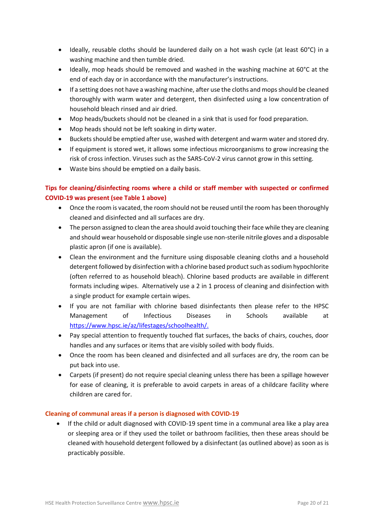- Ideally, reusable cloths should be laundered daily on a hot wash cycle (at least 60°C) in a washing machine and then tumble dried.
- Ideally, mop heads should be removed and washed in the washing machine at 60°C at the end of each day or in accordance with the manufacturer's instructions.
- If a setting does not have a washing machine, after use the cloths and mops should be cleaned thoroughly with warm water and detergent, then disinfected using a low concentration of household bleach rinsed and air dried.
- Mop heads/buckets should not be cleaned in a sink that is used for food preparation.
- Mop heads should not be left soaking in dirty water.
- Buckets should be emptied after use, washed with detergent and warm water and stored dry.
- If equipment is stored wet, it allows some infectious microorganisms to grow increasing the risk of cross infection. Viruses such as the SARS-CoV-2 virus cannot grow in this setting.
- Waste bins should be emptied on a daily basis.

# **Tips for cleaning/disinfecting rooms where a child or staff member with suspected or confirmed COVID-19 was present (see Table 1 above)**

- Once the room is vacated, the room should not be reused until the room has been thoroughly cleaned and disinfected and all surfaces are dry.
- The person assigned to clean the area should avoid touching their face while they are cleaning and should wear household or disposable single use non-sterile nitrile gloves and a disposable plastic apron (if one is available).
- Clean the environment and the furniture using disposable cleaning cloths and a household detergent followed by disinfection with a chlorine based product such as sodium hypochlorite (often referred to as household bleach). Chlorine based products are available in different formats including wipes. Alternatively use a 2 in 1 process of cleaning and disinfection with a single product for example certain wipes.
- If you are not familiar with chlorine based disinfectants then please refer to the HPSC Management of Infectious Diseases in Schools available at [https://www.hpsc.ie/az/lifestages/schoolhealth/.](https://www.hpsc.ie/az/lifestages/schoolhealth/)
- Pay special attention to frequently touched flat surfaces, the backs of chairs, couches, door handles and any surfaces or items that are visibly soiled with body fluids.
- Once the room has been cleaned and disinfected and all surfaces are dry, the room can be put back into use.
- Carpets (if present) do not require special cleaning unless there has been a spillage however for ease of cleaning, it is preferable to avoid carpets in areas of a childcare facility where children are cared for.

# **Cleaning of communal areas if a person is diagnosed with COVID-19**

• If the child or adult diagnosed with COVID-19 spent time in a communal area like a play area or sleeping area or if they used the toilet or bathroom facilities, then these areas should be cleaned with household detergent followed by a disinfectant (as outlined above) as soon as is practicably possible.